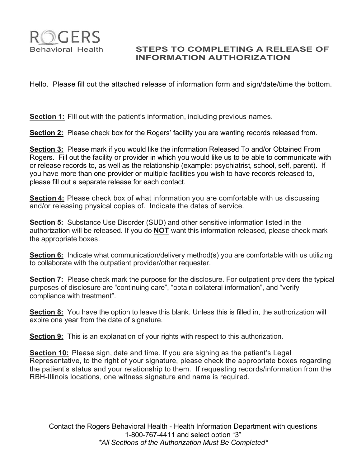

## Behavioral Health **STEPS TO COMPLETING A RELEASE OF INFORMATION AUTHORIZATION**

Hello. Please fill out the attached release of information form and sign/date/time the bottom.

**Section 1:** Fill out with the patient's information, including previous names.

**Section 2:** Please check box for the Rogers' facility you are wanting records released from.

**Section 3:** Please mark if you would like the information Released To and/or Obtained From Rogers. Fill out the facility or provider in which you would like us to be able to communicate with or release records to, as well as the relationship (example: psychiatrist, school, self, parent). If you have more than one provider or multiple facilities you wish to have records released to, please fill out a separate release for each contact.

**Section 4:** Please check box of what information you are comfortable with us discussing and/or releasing physical copies of. Indicate the dates of service.

**Section 5:** Substance Use Disorder (SUD) and other sensitive information listed in the authorization will be released. If you do **NOT** want this information released, please check mark the appropriate boxes.

**Section 6:** Indicate what communication/delivery method(s) you are comfortable with us utilizing to collaborate with the outpatient provider/other requester.

**Section 7:** Please check mark the purpose for the disclosure. For outpatient providers the typical purposes of disclosure are "continuing care", "obtain collateral information", and "verify compliance with treatment".

**Section 8:** You have the option to leave this blank. Unless this is filled in, the authorization will expire one year from the date of signature.

**Section 9:** This is an explanation of your rights with respect to this authorization.

**Section 10:** Please sign, date and time. If you are signing as the patient's Legal Representative, to the right of your signature, please check the appropriate boxes regarding the patient's status and your relationship to them. If requesting records/information from the RBH-Illinois locations, one witness signature and name is required.